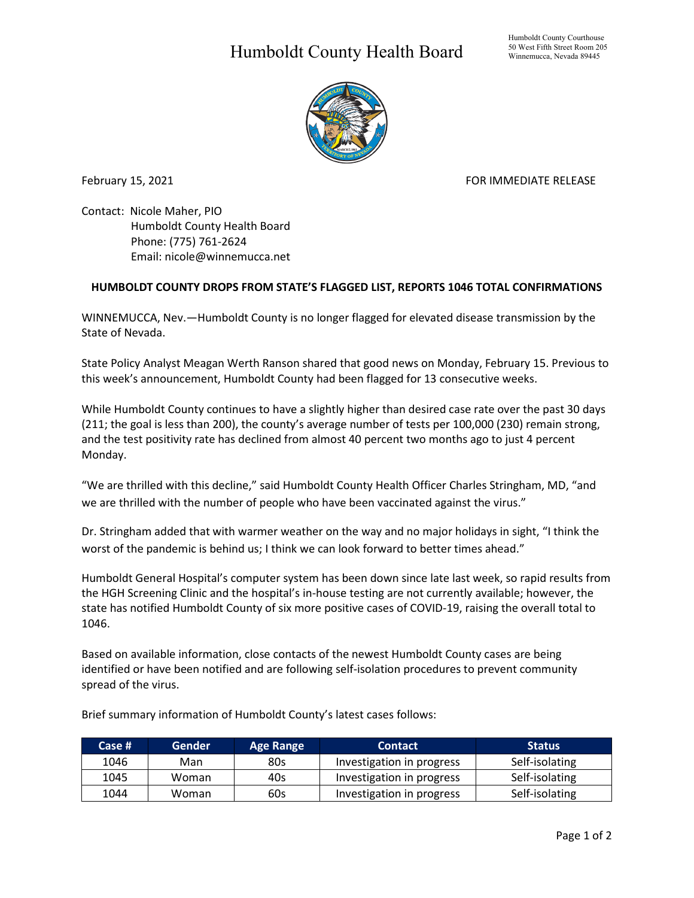## Humboldt County Health Board



February 15, 2021 **FOR IMMEDIATE RELEASE** 

Contact: Nicole Maher, PIO Humboldt County Health Board Phone: (775) 761-2624 Email: nicole@winnemucca.net

## **HUMBOLDT COUNTY DROPS FROM STATE'S FLAGGED LIST, REPORTS 1046 TOTAL CONFIRMATIONS**

WINNEMUCCA, Nev.—Humboldt County is no longer flagged for elevated disease transmission by the State of Nevada.

State Policy Analyst Meagan Werth Ranson shared that good news on Monday, February 15. Previous to this week's announcement, Humboldt County had been flagged for 13 consecutive weeks.

While Humboldt County continues to have a slightly higher than desired case rate over the past 30 days (211; the goal is less than 200), the county's average number of tests per 100,000 (230) remain strong, and the test positivity rate has declined from almost 40 percent two months ago to just 4 percent Monday.

"We are thrilled with this decline," said Humboldt County Health Officer Charles Stringham, MD, "and we are thrilled with the number of people who have been vaccinated against the virus."

Dr. Stringham added that with warmer weather on the way and no major holidays in sight, "I think the worst of the pandemic is behind us; I think we can look forward to better times ahead."

Humboldt General Hospital's computer system has been down since late last week, so rapid results from the HGH Screening Clinic and the hospital's in-house testing are not currently available; however, the state has notified Humboldt County of six more positive cases of COVID-19, raising the overall total to 1046.

Based on available information, close contacts of the newest Humboldt County cases are being identified or have been notified and are following self-isolation procedures to prevent community spread of the virus.

| Case # | <b>Gender</b> | <b>Age Range</b> | <b>Contact</b>            | <b>Status</b>  |
|--------|---------------|------------------|---------------------------|----------------|
| 1046   | Man           | 80s              | Investigation in progress | Self-isolating |
| 1045   | Woman         | 40s              | Investigation in progress | Self-isolating |
| 1044   | Woman         | 60s              | Investigation in progress | Self-isolating |

Brief summary information of Humboldt County's latest cases follows: